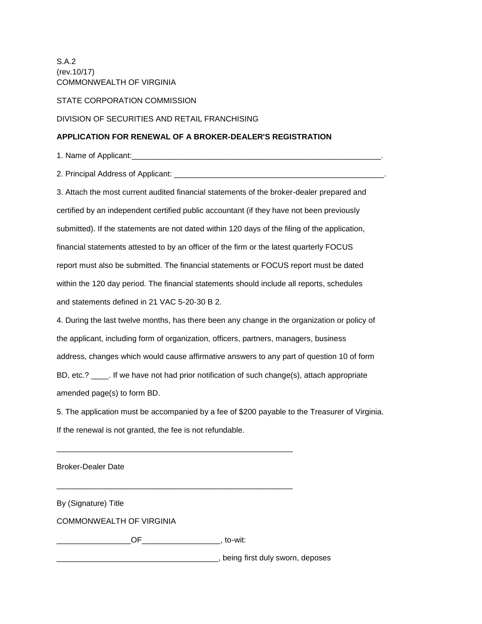S.A.2 (rev.10/17) COMMONWEALTH OF VIRGINIA

STATE CORPORATION COMMISSION

DIVISION OF SECURITIES AND RETAIL FRANCHISING

## **APPLICATION FOR RENEWAL OF A BROKER-DEALER'S REGISTRATION**

1. Name of Applicant:\_\_\_\_\_\_\_\_\_\_\_\_\_\_\_\_\_\_\_\_\_\_\_\_\_\_\_\_\_\_\_\_\_\_\_\_\_\_\_\_\_\_\_\_\_\_\_\_\_\_\_\_\_\_\_\_\_.

2. Principal Address of Applicant: \_\_\_\_\_\_\_\_\_\_\_\_\_\_\_\_\_\_\_\_\_\_\_\_\_\_\_\_\_\_\_\_\_\_\_\_\_\_\_\_\_\_\_\_\_\_\_\_.

3. Attach the most current audited financial statements of the broker-dealer prepared and certified by an independent certified public accountant (if they have not been previously submitted). If the statements are not dated within 120 days of the filing of the application, financial statements attested to by an officer of the firm or the latest quarterly FOCUS report must also be submitted. The financial statements or FOCUS report must be dated within the 120 day period. The financial statements should include all reports, schedules and statements defined in 21 VAC 5-20-30 B 2.

4. During the last twelve months, has there been any change in the organization or policy of the applicant, including form of organization, officers, partners, managers, business address, changes which would cause affirmative answers to any part of question 10 of form BD, etc.? \_\_\_\_\_. If we have not had prior notification of such change(s), attach appropriate amended page(s) to form BD.

5. The application must be accompanied by a fee of \$200 payable to the Treasurer of Virginia. If the renewal is not granted, the fee is not refundable.

Broker-Dealer Date

By (Signature) Title

COMMONWEALTH OF VIRGINIA

\_\_\_\_\_\_\_\_\_\_\_\_\_\_\_\_\_OF\_\_\_\_\_\_\_\_\_\_\_\_\_\_\_\_\_\_, to-wit:

\_\_\_\_\_\_\_\_\_\_\_\_\_\_\_\_\_\_\_\_\_\_\_\_\_\_\_\_\_\_\_\_\_\_\_\_\_\_\_\_\_\_\_\_\_\_\_\_\_\_\_\_\_\_

\_\_\_\_\_\_\_\_\_\_\_\_\_\_\_\_\_\_\_\_\_\_\_\_\_\_\_\_\_\_\_\_\_\_\_\_\_\_\_\_\_\_\_\_\_\_\_\_\_\_\_\_\_\_

\_\_\_\_\_\_\_\_\_\_\_\_\_\_\_\_\_\_\_\_\_\_\_\_\_\_\_\_\_\_\_\_\_\_\_\_\_, being first duly sworn, deposes